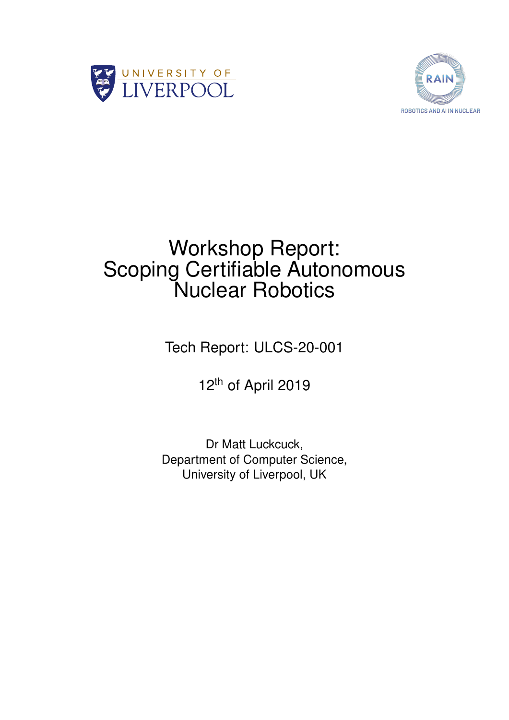



# Workshop Report: Scoping Certifiable Autonomous Nuclear Robotics

Tech Report: ULCS-20-001

12<sup>th</sup> of April 2019

Dr Matt Luckcuck, Department of Computer Science, University of Liverpool, UK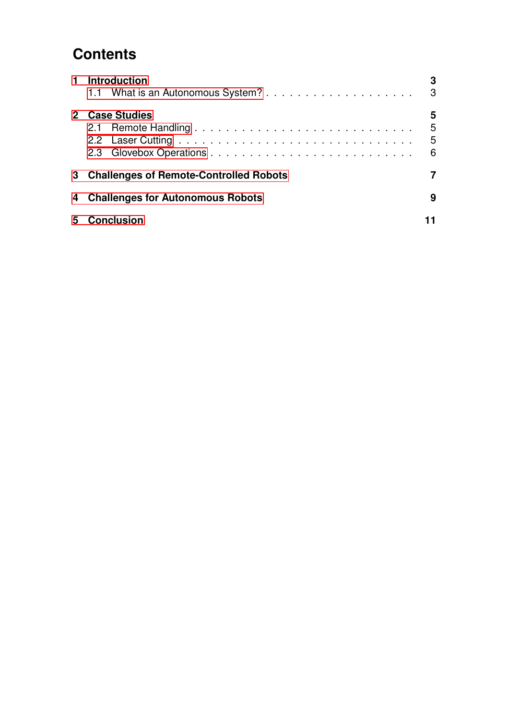# **Contents**

| $\mathbf 1$ | <b>Introduction</b>                      | 3 |
|-------------|------------------------------------------|---|
|             |                                          | 3 |
|             | 2 Case Studies                           | 5 |
|             |                                          | 5 |
|             |                                          | 5 |
|             |                                          | 6 |
|             | 3 Challenges of Remote-Controlled Robots |   |
| 4           | <b>Challenges for Autonomous Robots</b>  | 9 |
| 5           | <b>Conclusion</b>                        |   |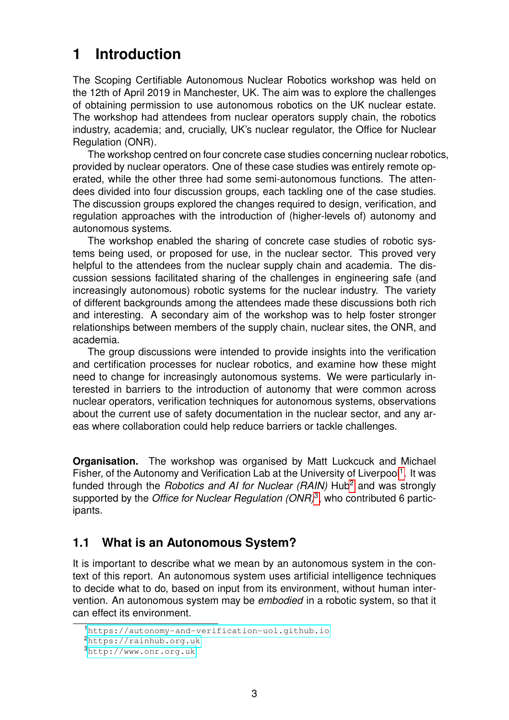# <span id="page-2-0"></span>**1 Introduction**

The Scoping Certifiable Autonomous Nuclear Robotics workshop was held on the 12th of April 2019 in Manchester, UK. The aim was to explore the challenges of obtaining permission to use autonomous robotics on the UK nuclear estate. The workshop had attendees from nuclear operators supply chain, the robotics industry, academia; and, crucially, UK's nuclear regulator, the Office for Nuclear Regulation (ONR).

The workshop centred on four concrete case studies concerning nuclear robotics, provided by nuclear operators. One of these case studies was entirely remote operated, while the other three had some semi-autonomous functions. The attendees divided into four discussion groups, each tackling one of the case studies. The discussion groups explored the changes required to design, verification, and regulation approaches with the introduction of (higher-levels of) autonomy and autonomous systems.

The workshop enabled the sharing of concrete case studies of robotic systems being used, or proposed for use, in the nuclear sector. This proved very helpful to the attendees from the nuclear supply chain and academia. The discussion sessions facilitated sharing of the challenges in engineering safe (and increasingly autonomous) robotic systems for the nuclear industry. The variety of different backgrounds among the attendees made these discussions both rich and interesting. A secondary aim of the workshop was to help foster stronger relationships between members of the supply chain, nuclear sites, the ONR, and academia.

The group discussions were intended to provide insights into the verification and certification processes for nuclear robotics, and examine how these might need to change for increasingly autonomous systems. We were particularly interested in barriers to the introduction of autonomy that were common across nuclear operators, verification techniques for autonomous systems, observations about the current use of safety documentation in the nuclear sector, and any areas where collaboration could help reduce barriers or tackle challenges.

**Organisation.** The workshop was organised by Matt Luckcuck and Michael Fisher, of the Autonomy and Verification Lab at the University of Liverpool<sup>[1](#page-2-2)</sup>. It was funded through the *Robotics and AI for Nuclear (RAIN)* Hub<sup>[2](#page-2-3)</sup> and was strongly supported by the *Office for Nuclear Regulation (ONR)*<sup>[3](#page-2-4)</sup>, who contributed 6 participants.

#### <span id="page-2-1"></span>**1.1 What is an Autonomous System?**

It is important to describe what we mean by an autonomous system in the context of this report. An autonomous system uses artificial intelligence techniques to decide what to do, based on input from its environment, without human intervention. An autonomous system may be *embodied* in a robotic system, so that it can effect its environment.

<span id="page-2-2"></span><sup>1</sup><https://autonomy-and-verification-uol.github.io>

<span id="page-2-3"></span><sup>2</sup><https://rainhub.org.uk>

<span id="page-2-4"></span><sup>3</sup><http://www.onr.org.uk>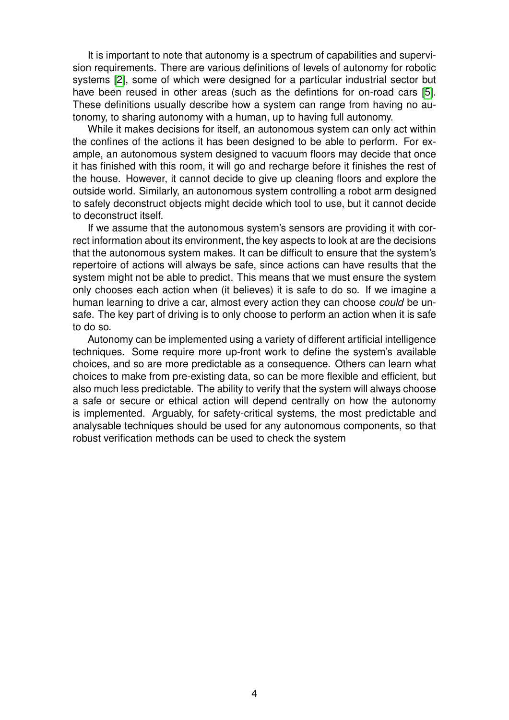It is important to note that autonomy is a spectrum of capabilities and supervision requirements. There are various definitions of levels of autonomy for robotic systems [\[2\]](#page-11-0), some of which were designed for a particular industrial sector but have been reused in other areas (such as the defintions for on-road cars [\[5\]](#page-11-1). These definitions usually describe how a system can range from having no autonomy, to sharing autonomy with a human, up to having full autonomy.

While it makes decisions for itself, an autonomous system can only act within the confines of the actions it has been designed to be able to perform. For example, an autonomous system designed to vacuum floors may decide that once it has finished with this room, it will go and recharge before it finishes the rest of the house. However, it cannot decide to give up cleaning floors and explore the outside world. Similarly, an autonomous system controlling a robot arm designed to safely deconstruct objects might decide which tool to use, but it cannot decide to deconstruct itself.

If we assume that the autonomous system's sensors are providing it with correct information about its environment, the key aspects to look at are the decisions that the autonomous system makes. It can be difficult to ensure that the system's repertoire of actions will always be safe, since actions can have results that the system might not be able to predict. This means that we must ensure the system only chooses each action when (it believes) it is safe to do so. If we imagine a human learning to drive a car, almost every action they can choose *could* be unsafe. The key part of driving is to only choose to perform an action when it is safe to do so.

Autonomy can be implemented using a variety of different artificial intelligence techniques. Some require more up-front work to define the system's available choices, and so are more predictable as a consequence. Others can learn what choices to make from pre-existing data, so can be more flexible and efficient, but also much less predictable. The ability to verify that the system will always choose a safe or secure or ethical action will depend centrally on how the autonomy is implemented. Arguably, for safety-critical systems, the most predictable and analysable techniques should be used for any autonomous components, so that robust verification methods can be used to check the system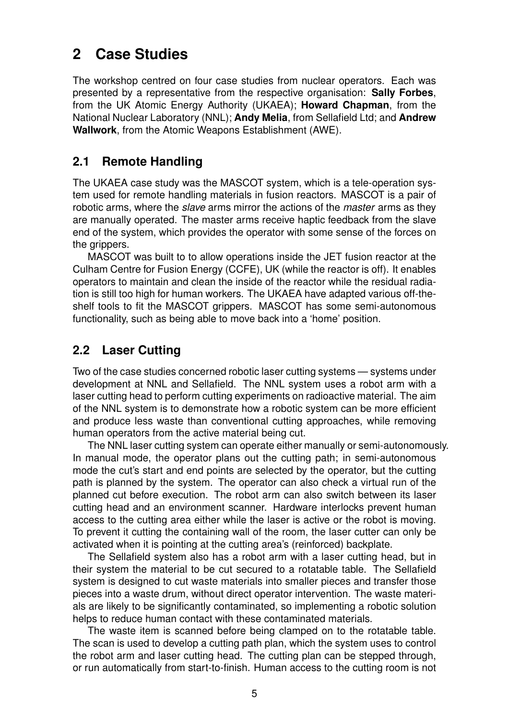# <span id="page-4-0"></span>**2 Case Studies**

The workshop centred on four case studies from nuclear operators. Each was presented by a representative from the respective organisation: **Sally Forbes**, from the UK Atomic Energy Authority (UKAEA); **Howard Chapman**, from the National Nuclear Laboratory (NNL); **Andy Melia**, from Sellafield Ltd; and **Andrew Wallwork**, from the Atomic Weapons Establishment (AWE).

#### <span id="page-4-1"></span>**2.1 Remote Handling**

The UKAEA case study was the MASCOT system, which is a tele-operation system used for remote handling materials in fusion reactors. MASCOT is a pair of robotic arms, where the *slave* arms mirror the actions of the *master* arms as they are manually operated. The master arms receive haptic feedback from the slave end of the system, which provides the operator with some sense of the forces on the grippers.

MASCOT was built to to allow operations inside the JET fusion reactor at the Culham Centre for Fusion Energy (CCFE), UK (while the reactor is off). It enables operators to maintain and clean the inside of the reactor while the residual radiation is still too high for human workers. The UKAEA have adapted various off-theshelf tools to fit the MASCOT grippers. MASCOT has some semi-autonomous functionality, such as being able to move back into a 'home' position.

#### <span id="page-4-2"></span>**2.2 Laser Cutting**

Two of the case studies concerned robotic laser cutting systems — systems under development at NNL and Sellafield. The NNL system uses a robot arm with a laser cutting head to perform cutting experiments on radioactive material. The aim of the NNL system is to demonstrate how a robotic system can be more efficient and produce less waste than conventional cutting approaches, while removing human operators from the active material being cut.

The NNL laser cutting system can operate either manually or semi-autonomously. In manual mode, the operator plans out the cutting path; in semi-autonomous mode the cut's start and end points are selected by the operator, but the cutting path is planned by the system. The operator can also check a virtual run of the planned cut before execution. The robot arm can also switch between its laser cutting head and an environment scanner. Hardware interlocks prevent human access to the cutting area either while the laser is active or the robot is moving. To prevent it cutting the containing wall of the room, the laser cutter can only be activated when it is pointing at the cutting area's (reinforced) backplate.

The Sellafield system also has a robot arm with a laser cutting head, but in their system the material to be cut secured to a rotatable table. The Sellafield system is designed to cut waste materials into smaller pieces and transfer those pieces into a waste drum, without direct operator intervention. The waste materials are likely to be significantly contaminated, so implementing a robotic solution helps to reduce human contact with these contaminated materials.

The waste item is scanned before being clamped on to the rotatable table. The scan is used to develop a cutting path plan, which the system uses to control the robot arm and laser cutting head. The cutting plan can be stepped through, or run automatically from start-to-finish. Human access to the cutting room is not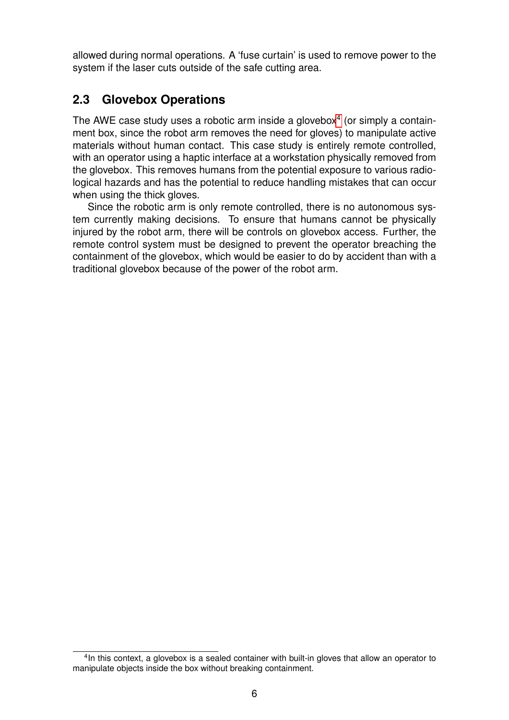allowed during normal operations. A 'fuse curtain' is used to remove power to the system if the laser cuts outside of the safe cutting area.

#### <span id="page-5-0"></span>**2.3 Glovebox Operations**

The AWE case study uses a robotic arm inside a glovebox $4$  (or simply a containment box, since the robot arm removes the need for gloves) to manipulate active materials without human contact. This case study is entirely remote controlled, with an operator using a haptic interface at a workstation physically removed from the glovebox. This removes humans from the potential exposure to various radiological hazards and has the potential to reduce handling mistakes that can occur when using the thick gloves.

Since the robotic arm is only remote controlled, there is no autonomous system currently making decisions. To ensure that humans cannot be physically injured by the robot arm, there will be controls on glovebox access. Further, the remote control system must be designed to prevent the operator breaching the containment of the glovebox, which would be easier to do by accident than with a traditional glovebox because of the power of the robot arm.

<span id="page-5-1"></span><sup>&</sup>lt;sup>4</sup>In this context, a glovebox is a sealed container with built-in gloves that allow an operator to manipulate objects inside the box without breaking containment.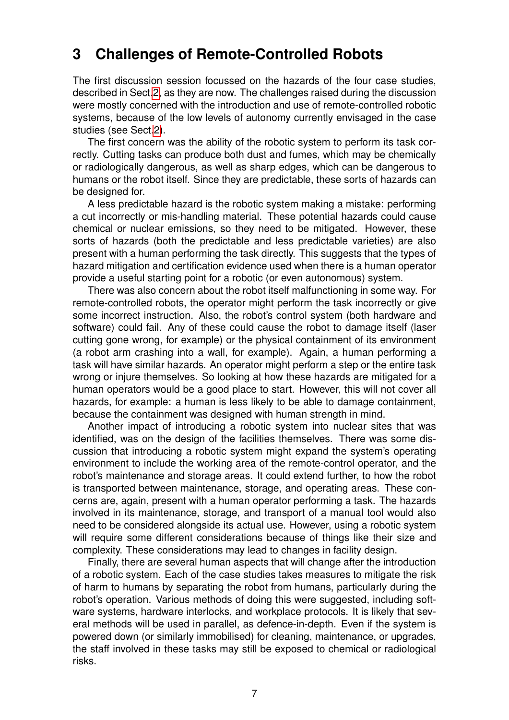# <span id="page-6-0"></span>**3 Challenges of Remote-Controlled Robots**

The first discussion session focussed on the hazards of the four case studies, described in Sect[.2,](#page-4-0) as they are now. The challenges raised during the discussion were mostly concerned with the introduction and use of remote-controlled robotic systems, because of the low levels of autonomy currently envisaged in the case studies (see Sect[.2\)](#page-4-0).

The first concern was the ability of the robotic system to perform its task correctly. Cutting tasks can produce both dust and fumes, which may be chemically or radiologically dangerous, as well as sharp edges, which can be dangerous to humans or the robot itself. Since they are predictable, these sorts of hazards can be designed for.

A less predictable hazard is the robotic system making a mistake: performing a cut incorrectly or mis-handling material. These potential hazards could cause chemical or nuclear emissions, so they need to be mitigated. However, these sorts of hazards (both the predictable and less predictable varieties) are also present with a human performing the task directly. This suggests that the types of hazard mitigation and certification evidence used when there is a human operator provide a useful starting point for a robotic (or even autonomous) system.

There was also concern about the robot itself malfunctioning in some way. For remote-controlled robots, the operator might perform the task incorrectly or give some incorrect instruction. Also, the robot's control system (both hardware and software) could fail. Any of these could cause the robot to damage itself (laser cutting gone wrong, for example) or the physical containment of its environment (a robot arm crashing into a wall, for example). Again, a human performing a task will have similar hazards. An operator might perform a step or the entire task wrong or injure themselves. So looking at how these hazards are mitigated for a human operators would be a good place to start. However, this will not cover all hazards, for example: a human is less likely to be able to damage containment, because the containment was designed with human strength in mind.

Another impact of introducing a robotic system into nuclear sites that was identified, was on the design of the facilities themselves. There was some discussion that introducing a robotic system might expand the system's operating environment to include the working area of the remote-control operator, and the robot's maintenance and storage areas. It could extend further, to how the robot is transported between maintenance, storage, and operating areas. These concerns are, again, present with a human operator performing a task. The hazards involved in its maintenance, storage, and transport of a manual tool would also need to be considered alongside its actual use. However, using a robotic system will require some different considerations because of things like their size and complexity. These considerations may lead to changes in facility design.

Finally, there are several human aspects that will change after the introduction of a robotic system. Each of the case studies takes measures to mitigate the risk of harm to humans by separating the robot from humans, particularly during the robot's operation. Various methods of doing this were suggested, including software systems, hardware interlocks, and workplace protocols. It is likely that several methods will be used in parallel, as defence-in-depth. Even if the system is powered down (or similarly immobilised) for cleaning, maintenance, or upgrades, the staff involved in these tasks may still be exposed to chemical or radiological risks.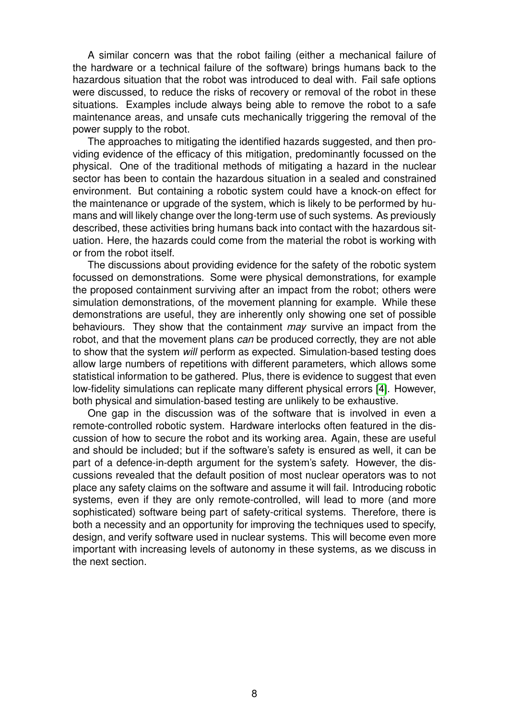A similar concern was that the robot failing (either a mechanical failure of the hardware or a technical failure of the software) brings humans back to the hazardous situation that the robot was introduced to deal with. Fail safe options were discussed, to reduce the risks of recovery or removal of the robot in these situations. Examples include always being able to remove the robot to a safe maintenance areas, and unsafe cuts mechanically triggering the removal of the power supply to the robot.

The approaches to mitigating the identified hazards suggested, and then providing evidence of the efficacy of this mitigation, predominantly focussed on the physical. One of the traditional methods of mitigating a hazard in the nuclear sector has been to contain the hazardous situation in a sealed and constrained environment. But containing a robotic system could have a knock-on effect for the maintenance or upgrade of the system, which is likely to be performed by humans and will likely change over the long-term use of such systems. As previously described, these activities bring humans back into contact with the hazardous situation. Here, the hazards could come from the material the robot is working with or from the robot itself.

The discussions about providing evidence for the safety of the robotic system focussed on demonstrations. Some were physical demonstrations, for example the proposed containment surviving after an impact from the robot; others were simulation demonstrations, of the movement planning for example. While these demonstrations are useful, they are inherently only showing one set of possible behaviours. They show that the containment *may* survive an impact from the robot, and that the movement plans *can* be produced correctly, they are not able to show that the system *will* perform as expected. Simulation-based testing does allow large numbers of repetitions with different parameters, which allows some statistical information to be gathered. Plus, there is evidence to suggest that even low-fidelity simulations can replicate many different physical errors [\[4\]](#page-11-2). However, both physical and simulation-based testing are unlikely to be exhaustive.

One gap in the discussion was of the software that is involved in even a remote-controlled robotic system. Hardware interlocks often featured in the discussion of how to secure the robot and its working area. Again, these are useful and should be included; but if the software's safety is ensured as well, it can be part of a defence-in-depth argument for the system's safety. However, the discussions revealed that the default position of most nuclear operators was to not place any safety claims on the software and assume it will fail. Introducing robotic systems, even if they are only remote-controlled, will lead to more (and more sophisticated) software being part of safety-critical systems. Therefore, there is both a necessity and an opportunity for improving the techniques used to specify, design, and verify software used in nuclear systems. This will become even more important with increasing levels of autonomy in these systems, as we discuss in the next section.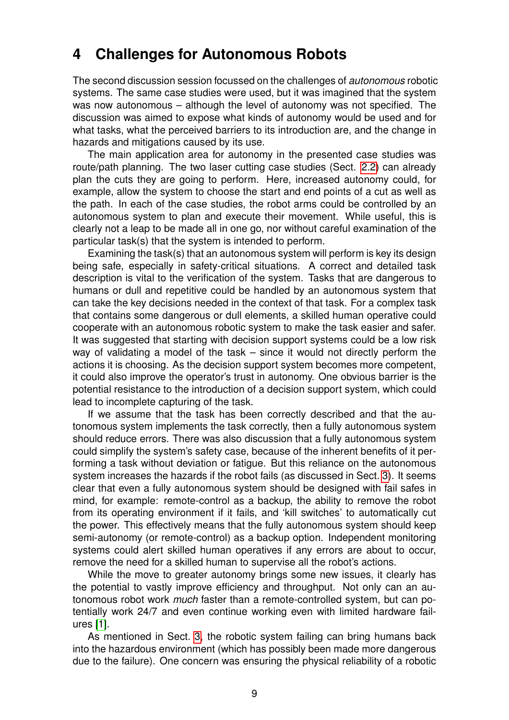## <span id="page-8-0"></span>**4 Challenges for Autonomous Robots**

The second discussion session focussed on the challenges of *autonomous* robotic systems. The same case studies were used, but it was imagined that the system was now autonomous – although the level of autonomy was not specified. The discussion was aimed to expose what kinds of autonomy would be used and for what tasks, what the perceived barriers to its introduction are, and the change in hazards and mitigations caused by its use.

The main application area for autonomy in the presented case studies was route/path planning. The two laser cutting case studies (Sect. [2.2\)](#page-4-2) can already plan the cuts they are going to perform. Here, increased autonomy could, for example, allow the system to choose the start and end points of a cut as well as the path. In each of the case studies, the robot arms could be controlled by an autonomous system to plan and execute their movement. While useful, this is clearly not a leap to be made all in one go, nor without careful examination of the particular task(s) that the system is intended to perform.

Examining the task(s) that an autonomous system will perform is key its design being safe, especially in safety-critical situations. A correct and detailed task description is vital to the verification of the system. Tasks that are dangerous to humans or dull and repetitive could be handled by an autonomous system that can take the key decisions needed in the context of that task. For a complex task that contains some dangerous or dull elements, a skilled human operative could cooperate with an autonomous robotic system to make the task easier and safer. It was suggested that starting with decision support systems could be a low risk way of validating a model of the task – since it would not directly perform the actions it is choosing. As the decision support system becomes more competent, it could also improve the operator's trust in autonomy. One obvious barrier is the potential resistance to the introduction of a decision support system, which could lead to incomplete capturing of the task.

If we assume that the task has been correctly described and that the autonomous system implements the task correctly, then a fully autonomous system should reduce errors. There was also discussion that a fully autonomous system could simplify the system's safety case, because of the inherent benefits of it performing a task without deviation or fatigue. But this reliance on the autonomous system increases the hazards if the robot fails (as discussed in Sect. [3\)](#page-6-0). It seems clear that even a fully autonomous system should be designed with fail safes in mind, for example: remote-control as a backup, the ability to remove the robot from its operating environment if it fails, and 'kill switches' to automatically cut the power. This effectively means that the fully autonomous system should keep semi-autonomy (or remote-control) as a backup option. Independent monitoring systems could alert skilled human operatives if any errors are about to occur, remove the need for a skilled human to supervise all the robot's actions.

While the move to greater autonomy brings some new issues, it clearly has the potential to vastly improve efficiency and throughput. Not only can an autonomous robot work *much* faster than a remote-controlled system, but can potentially work 24/7 and even continue working even with limited hardware failures [\[1\]](#page-11-3).

As mentioned in Sect. [3,](#page-6-0) the robotic system failing can bring humans back into the hazardous environment (which has possibly been made more dangerous due to the failure). One concern was ensuring the physical reliability of a robotic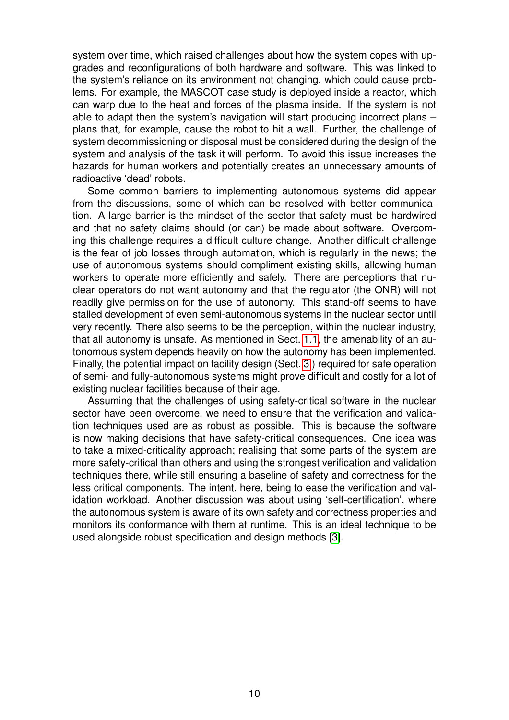system over time, which raised challenges about how the system copes with upgrades and reconfigurations of both hardware and software. This was linked to the system's reliance on its environment not changing, which could cause problems. For example, the MASCOT case study is deployed inside a reactor, which can warp due to the heat and forces of the plasma inside. If the system is not able to adapt then the system's navigation will start producing incorrect plans – plans that, for example, cause the robot to hit a wall. Further, the challenge of system decommissioning or disposal must be considered during the design of the system and analysis of the task it will perform. To avoid this issue increases the hazards for human workers and potentially creates an unnecessary amounts of radioactive 'dead' robots.

Some common barriers to implementing autonomous systems did appear from the discussions, some of which can be resolved with better communication. A large barrier is the mindset of the sector that safety must be hardwired and that no safety claims should (or can) be made about software. Overcoming this challenge requires a difficult culture change. Another difficult challenge is the fear of job losses through automation, which is regularly in the news; the use of autonomous systems should compliment existing skills, allowing human workers to operate more efficiently and safely. There are perceptions that nuclear operators do not want autonomy and that the regulator (the ONR) will not readily give permission for the use of autonomy. This stand-off seems to have stalled development of even semi-autonomous systems in the nuclear sector until very recently. There also seems to be the perception, within the nuclear industry, that all autonomy is unsafe. As mentioned in Sect. [1.1,](#page-2-1) the amenability of an autonomous system depends heavily on how the autonomy has been implemented. Finally, the potential impact on facility design (Sect. [3](#page-6-0) ) required for safe operation of semi- and fully-autonomous systems might prove difficult and costly for a lot of existing nuclear facilities because of their age.

Assuming that the challenges of using safety-critical software in the nuclear sector have been overcome, we need to ensure that the verification and validation techniques used are as robust as possible. This is because the software is now making decisions that have safety-critical consequences. One idea was to take a mixed-criticality approach; realising that some parts of the system are more safety-critical than others and using the strongest verification and validation techniques there, while still ensuring a baseline of safety and correctness for the less critical components. The intent, here, being to ease the verification and validation workload. Another discussion was about using 'self-certification', where the autonomous system is aware of its own safety and correctness properties and monitors its conformance with them at runtime. This is an ideal technique to be used alongside robust specification and design methods [\[3\]](#page-11-4).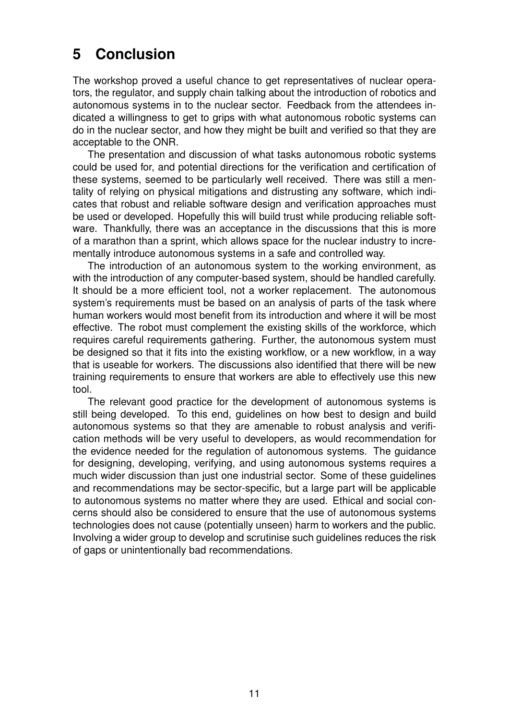# <span id="page-10-0"></span>**5 Conclusion**

The workshop proved a useful chance to get representatives of nuclear operators, the regulator, and supply chain talking about the introduction of robotics and autonomous systems in to the nuclear sector. Feedback from the attendees indicated a willingness to get to grips with what autonomous robotic systems can do in the nuclear sector, and how they might be built and verified so that they are acceptable to the ONR.

The presentation and discussion of what tasks autonomous robotic systems could be used for, and potential directions for the verification and certification of these systems, seemed to be particularly well received. There was still a mentality of relying on physical mitigations and distrusting any software, which indicates that robust and reliable software design and verification approaches must be used or developed. Hopefully this will build trust while producing reliable software. Thankfully, there was an acceptance in the discussions that this is more of a marathon than a sprint, which allows space for the nuclear industry to incrementally introduce autonomous systems in a safe and controlled way.

The introduction of an autonomous system to the working environment, as with the introduction of any computer-based system, should be handled carefully. It should be a more efficient tool, not a worker replacement. The autonomous system's requirements must be based on an analysis of parts of the task where human workers would most benefit from its introduction and where it will be most effective. The robot must complement the existing skills of the workforce, which requires careful requirements gathering. Further, the autonomous system must be designed so that it fits into the existing workflow, or a new workflow, in a way that is useable for workers. The discussions also identified that there will be new training requirements to ensure that workers are able to effectively use this new tool.

The relevant good practice for the development of autonomous systems is still being developed. To this end, guidelines on how best to design and build autonomous systems so that they are amenable to robust analysis and verification methods will be very useful to developers, as would recommendation for the evidence needed for the regulation of autonomous systems. The guidance for designing, developing, verifying, and using autonomous systems requires a much wider discussion than just one industrial sector. Some of these guidelines and recommendations may be sector-specific, but a large part will be applicable to autonomous systems no matter where they are used. Ethical and social concerns should also be considered to ensure that the use of autonomous systems technologies does not cause (potentially unseen) harm to workers and the public. Involving a wider group to develop and scrutinise such guidelines reduces the risk of gaps or unintentionally bad recommendations.